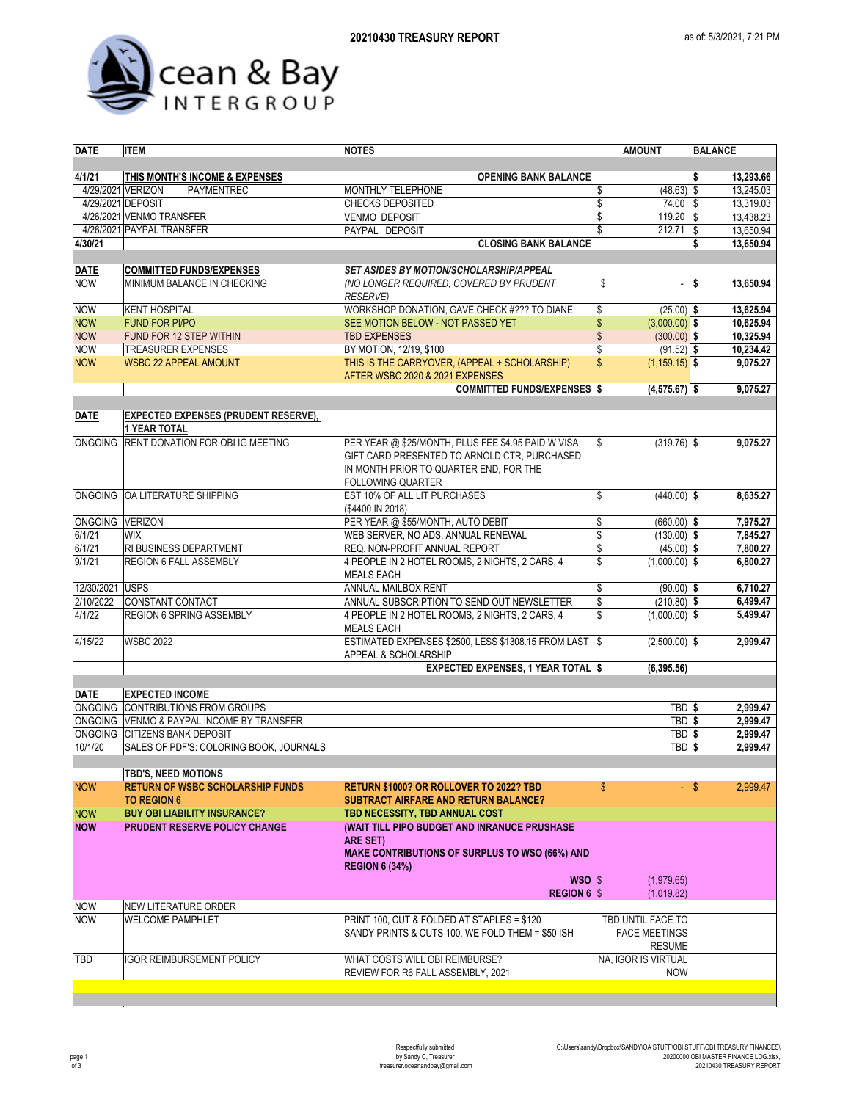

| <b>DATE</b>              | <b>ITEM</b>                                                        | <b>NOTES</b>                                                                                  | <b>AMOUNT</b>                                        | <b>BALANCE</b>         |  |
|--------------------------|--------------------------------------------------------------------|-----------------------------------------------------------------------------------------------|------------------------------------------------------|------------------------|--|
| 4/1/21                   | THIS MONTH'S INCOME & EXPENSES                                     | <b>OPENING BANK BALANCE</b>                                                                   |                                                      | 13,293.66<br>\$        |  |
|                          | 4/29/2021 VERIZON<br>PAYMENTREC                                    | MONTHLY TELEPHONE                                                                             | (48.63)<br>\$                                        | \$<br>13,245.03        |  |
| 4/29/2021 DEPOSIT        |                                                                    | CHECKS DEPOSITED                                                                              | \$<br>74.00                                          | \$<br>13,319.03        |  |
|                          | 4/26/2021 VENMO TRANSFER                                           | <b>VENMO DEPOSIT</b>                                                                          | \$<br>119.20 \$                                      | 13,438.23              |  |
|                          | 4/26/2021 PAYPAL TRANSFER                                          | PAYPAL DEPOSIT                                                                                | \$<br>$212.71$ \\$                                   | 13,650.94              |  |
| 4/30/21                  |                                                                    | <b>CLOSING BANK BALANCE</b>                                                                   |                                                      | \$<br>13,650.94        |  |
|                          |                                                                    |                                                                                               |                                                      |                        |  |
| <b>DATE</b>              | <b>COMMITTED FUNDS/EXPENSES</b>                                    | <b>SET ASIDES BY MOTION/SCHOLARSHIP/APPEAL</b>                                                |                                                      |                        |  |
| <b>NOW</b>               | MINIMUM BALANCE IN CHECKING                                        | (NO LONGER REQUIRED, COVERED BY PRUDENT                                                       | \$<br>٠                                              | \$<br>13,650.94        |  |
|                          |                                                                    | <b>RESERVE)</b>                                                                               |                                                      |                        |  |
| <b>NOW</b>               | <b>KENT HOSPITAL</b>                                               | WORKSHOP DONATION, GAVE CHECK #??? TO DIANE                                                   | \$<br>$(25.00)$ \$                                   | 13,625.94              |  |
| <b>NOW</b>               | <b>FUND FOR PI/PO</b>                                              | SEE MOTION BELOW - NOT PASSED YET<br><b>TBD EXPENSES</b>                                      | \$<br>$(3,000.00)$ \$                                | 10,625.94<br>10,325.94 |  |
| <b>NOW</b><br><b>NOW</b> | FUND FOR 12 STEP WITHIN<br><b>TREASURER EXPENSES</b>               | BY MOTION, 12/19, \$100                                                                       | $\mathsf{\$}$<br>$(300.00)$ \$<br>\$<br>$(91.52)$ \$ | 10,234.42              |  |
| <b>NOW</b>               | <b>WSBC 22 APPEAL AMOUNT</b>                                       | THIS IS THE CARRYOVER, (APPEAL + SCHOLARSHIP)                                                 | $\mathsf{\$}$<br>$(1, 159.15)$ \$                    | 9,075.27               |  |
|                          |                                                                    | AFTER WSBC 2020 & 2021 EXPENSES                                                               |                                                      |                        |  |
|                          |                                                                    | <b>COMMITTED FUNDS/EXPENSES \$</b>                                                            | $(4,575.67)$ \$                                      | 9,075.27               |  |
|                          |                                                                    |                                                                                               |                                                      |                        |  |
| <b>DATE</b>              | <b>EXPECTED EXPENSES (PRUDENT RESERVE),</b><br><b>1 YEAR TOTAL</b> |                                                                                               |                                                      |                        |  |
| <b>ONGOING</b>           | <b>RENT DONATION FOR OBI IG MEETING</b>                            | PER YEAR @ \$25/MONTH, PLUS FEE \$4.95 PAID W VISA                                            | \$<br>$(319.76)$ \$                                  | 9,075.27               |  |
|                          |                                                                    | GIFT CARD PRESENTED TO ARNOLD CTR, PURCHASED                                                  |                                                      |                        |  |
|                          |                                                                    | IN MONTH PRIOR TO QUARTER END, FOR THE                                                        |                                                      |                        |  |
|                          |                                                                    | <b>FOLLOWING QUARTER</b>                                                                      |                                                      |                        |  |
|                          | ONGOING OA LITERATURE SHIPPING                                     | EST 10% OF ALL LIT PURCHASES                                                                  | \$<br>$(440.00)$ \$                                  | 8,635.27               |  |
| ONGOING VERIZON          |                                                                    | (\$4400 IN 2018)<br>PER YEAR @ \$55/MONTH, AUTO DEBIT                                         | \$<br>$(660.00)$ \$                                  | 7,975.27               |  |
| 6/1/21                   | <b>WIX</b>                                                         | WEB SERVER, NO ADS, ANNUAL RENEWAL                                                            | \$<br>$(130.00)$ \$                                  | 7,845.27               |  |
| 6/1/21                   | RI BUSINESS DEPARTMENT                                             | REQ. NON-PROFIT ANNUAL REPORT                                                                 | \$<br>$(45.00)$ \$                                   | 7.800.27               |  |
| 9/1/21                   | <b>REGION 6 FALL ASSEMBLY</b>                                      | 4 PEOPLE IN 2 HOTEL ROOMS, 2 NIGHTS, 2 CARS, 4                                                | \$<br>$(1,000.00)$ \$                                | 6,800.27               |  |
|                          |                                                                    | <b>MEALS EACH</b>                                                                             |                                                      |                        |  |
| 12/30/2021 USPS          |                                                                    | ANNUAL MAILBOX RENT                                                                           | \$<br>$(90.00)$ \$                                   | 6,710.27               |  |
| 2/10/2022                | CONSTANT CONTACT                                                   | ANNUAL SUBSCRIPTION TO SEND OUT NEWSLETTER                                                    | $\sqrt[6]{\frac{1}{2}}$<br>$(210.80)$ \$             | 6,499.47               |  |
| 4/1/22                   | REGION 6 SPRING ASSEMBLY                                           | 4 PEOPLE IN 2 HOTEL ROOMS, 2 NIGHTS, 2 CARS, 4<br>MEALS EACH                                  | \$<br>$(1,000.00)$ \$                                | 5,499.47               |  |
| 4/15/22                  | <b>WSBC 2022</b>                                                   | ESTIMATED EXPENSES \$2500, LESS \$1308.15 FROM LAST   \$                                      | $(2,500.00)$ \$                                      | 2,999.47               |  |
|                          |                                                                    | APPEAL & SCHOLARSHIP<br><b>EXPECTED EXPENSES, 1 YEAR TOTAL \$</b>                             | (6, 395.56)                                          |                        |  |
|                          |                                                                    |                                                                                               |                                                      |                        |  |
| <b>DATE</b>              | <b>EXPECTED INCOME</b>                                             |                                                                                               |                                                      |                        |  |
|                          | ONGOING CONTRIBUTIONS FROM GROUPS                                  |                                                                                               | TBD \$                                               | 2,999.47               |  |
|                          | ONGOING VENMO & PAYPAL INCOME BY TRANSFER                          |                                                                                               | TBD \$                                               | 2,999.47               |  |
|                          | ONGOING CITIZENS BANK DEPOSIT                                      |                                                                                               | TBD <sub>\$</sub>                                    | 2,999.47               |  |
| 10/1/20                  | SALES OF PDF'S: COLORING BOOK, JOURNALS                            |                                                                                               | TBD <sub>\$</sub>                                    | 2,999.47               |  |
|                          |                                                                    |                                                                                               |                                                      |                        |  |
|                          | <b>TBD'S, NEED MOTIONS</b>                                         |                                                                                               |                                                      |                        |  |
| <b>NOW</b>               | <b>RETURN OF WSBC SCHOLARSHIP FUNDS</b>                            | <b>RETURN \$1000? OR ROLLOVER TO 2022? TBD</b><br><b>SUBTRACT AIRFARE AND RETURN BALANCE?</b> | $\mathsf{\$}$                                        | - \$<br>2,999.47       |  |
| <b>NOW</b>               | <b>TO REGION 6</b><br><b>BUY OBI LIABILITY INSURANCE?</b>          | TBD NECESSITY, TBD ANNUAL COST                                                                |                                                      |                        |  |
| <b>NOW</b>               | <b>PRUDENT RESERVE POLICY CHANGE</b>                               | (WAIT TILL PIPO BUDGET AND INRANUCE PRUSHASE                                                  |                                                      |                        |  |
|                          |                                                                    | <b>ARE SET)</b>                                                                               |                                                      |                        |  |
|                          |                                                                    | <b>MAKE CONTRIBUTIONS OF SURPLUS TO WSO (66%) AND</b>                                         |                                                      |                        |  |
|                          |                                                                    | <b>REGION 6 (34%)</b>                                                                         |                                                      |                        |  |
|                          |                                                                    | WSO \$<br><b>REGION 6 \$</b>                                                                  | (1,979.65)<br>(1,019.82)                             |                        |  |
| <b>NOW</b>               | NEW LITERATURE ORDER                                               |                                                                                               |                                                      |                        |  |
| <b>NOW</b>               | <b>WELCOME PAMPHLET</b>                                            | PRINT 100, CUT & FOLDED AT STAPLES = \$120                                                    | TBD UNTIL FACE TO                                    |                        |  |
|                          |                                                                    | SANDY PRINTS & CUTS 100, WE FOLD THEM = \$50 ISH                                              | <b>FACE MEETINGS</b>                                 |                        |  |
|                          |                                                                    |                                                                                               | <b>RESUME</b>                                        |                        |  |
| TBD                      | <b>IGOR REIMBURSEMENT POLICY</b>                                   | WHAT COSTS WILL OBI REIMBURSE?                                                                | NA, IGOR IS VIRTUAL                                  |                        |  |
|                          |                                                                    | REVIEW FOR R6 FALL ASSEMBLY, 2021                                                             | <b>NOW</b>                                           |                        |  |
|                          |                                                                    |                                                                                               |                                                      |                        |  |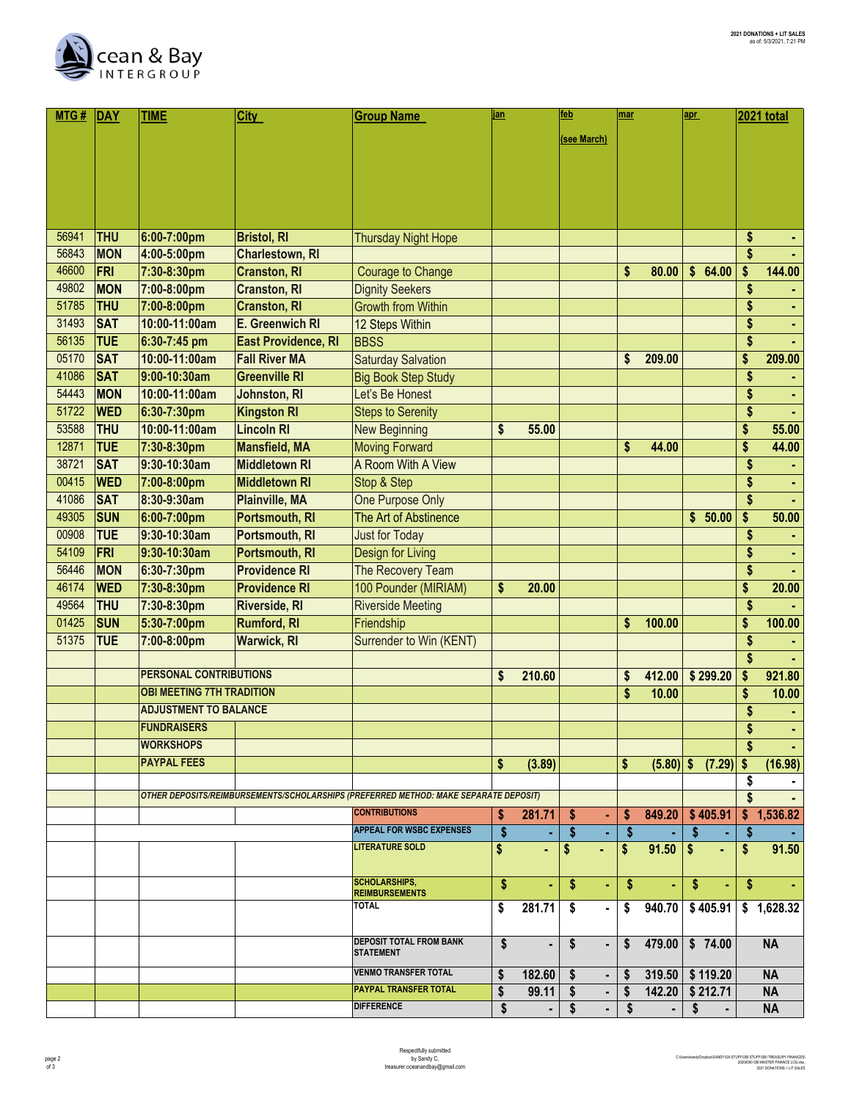

| MTG#  | <b>DAY</b> | <b>TIME</b>                                                                          | <b>City</b>                | <b>Group Name</b>                     | <u>jan</u> |        | feb         | mar     |        | apr                  | <b>2021 total</b> |            |
|-------|------------|--------------------------------------------------------------------------------------|----------------------------|---------------------------------------|------------|--------|-------------|---------|--------|----------------------|-------------------|------------|
|       |            |                                                                                      |                            |                                       |            |        | (see March) |         |        |                      |                   |            |
|       |            |                                                                                      |                            |                                       |            |        |             |         |        |                      |                   |            |
|       |            |                                                                                      |                            |                                       |            |        |             |         |        |                      |                   |            |
|       |            |                                                                                      |                            |                                       |            |        |             |         |        |                      |                   |            |
|       |            |                                                                                      |                            |                                       |            |        |             |         |        |                      |                   |            |
|       |            |                                                                                      |                            |                                       |            |        |             |         |        |                      |                   |            |
| 56941 | <b>THU</b> | 6:00-7:00pm                                                                          | <b>Bristol, RI</b>         | <b>Thursday Night Hope</b>            |            |        |             |         |        |                      | \$                |            |
| 56843 | <b>MON</b> | 4:00-5:00pm                                                                          | <b>Charlestown, RI</b>     |                                       |            |        |             |         |        |                      | \$                |            |
| 46600 | FRI        | 7:30-8:30pm                                                                          | <b>Cranston, RI</b>        | <b>Courage to Change</b>              |            |        |             | \$      | 80.00  | \$64.00              | \$                | 144.00     |
| 49802 | <b>MON</b> | 7:00-8:00pm                                                                          | <b>Cranston, RI</b>        | <b>Dignity Seekers</b>                |            |        |             |         |        |                      | \$                |            |
| 51785 | <b>THU</b> | 7:00-8:00pm                                                                          | <b>Cranston, RI</b>        | <b>Growth from Within</b>             |            |        |             |         |        |                      | \$                |            |
| 31493 | <b>SAT</b> | 10:00-11:00am                                                                        | <b>E. Greenwich RI</b>     | 12 Steps Within                       |            |        |             |         |        |                      | \$                |            |
| 56135 | <b>TUE</b> | 6:30-7:45 pm                                                                         | <b>East Providence, RI</b> | <b>BBSS</b>                           |            |        |             |         |        |                      | \$                |            |
| 05170 | <b>SAT</b> | 10:00-11:00am                                                                        | <b>Fall River MA</b>       | <b>Saturday Salvation</b>             |            |        |             | \$      | 209.00 |                      | \$                | 209.00     |
| 41086 | <b>SAT</b> | 9:00-10:30am                                                                         | <b>Greenville RI</b>       | <b>Big Book Step Study</b>            |            |        |             |         |        |                      | \$                |            |
| 54443 | <b>MON</b> | 10:00-11:00am                                                                        | <b>Johnston, RI</b>        | Let's Be Honest                       |            |        |             |         |        |                      | \$                |            |
| 51722 | <b>WED</b> | 6:30-7:30pm                                                                          | <b>Kingston RI</b>         | <b>Steps to Serenity</b>              |            |        |             |         |        |                      | \$                |            |
| 53588 | <b>THU</b> | 10:00-11:00am                                                                        | <b>Lincoln RI</b>          | <b>New Beginning</b>                  | \$         | 55.00  |             |         |        |                      | \$                | 55.00      |
| 12871 | <b>TUE</b> | 7:30-8:30pm                                                                          | <b>Mansfield, MA</b>       | <b>Moving Forward</b>                 |            |        |             | \$      | 44.00  |                      | \$                | 44.00      |
| 38721 | <b>SAT</b> | 9:30-10:30am                                                                         | <b>Middletown RI</b>       | A Room With A View                    |            |        |             |         |        |                      | \$                |            |
| 00415 | <b>WED</b> | 7:00-8:00pm                                                                          | <b>Middletown RI</b>       | Stop & Step                           |            |        |             |         |        |                      | \$                |            |
| 41086 | <b>SAT</b> | 8:30-9:30am                                                                          | <b>Plainville, MA</b>      | One Purpose Only                      |            |        |             |         |        |                      | \$                |            |
| 49305 | <b>SUN</b> | 6:00-7:00pm                                                                          | <b>Portsmouth, RI</b>      | The Art of Abstinence                 |            |        |             |         |        | \$<br>50.00          | \$                | 50.00      |
| 00908 | <b>TUE</b> | 9:30-10:30am                                                                         | Portsmouth, RI             | <b>Just for Today</b>                 |            |        |             |         |        |                      | \$                |            |
| 54109 | FRI        | 9:30-10:30am                                                                         | Portsmouth, RI             | Design for Living                     |            |        |             |         |        |                      | \$                |            |
| 56446 | <b>MON</b> | 6:30-7:30pm                                                                          | <b>Providence RI</b>       | The Recovery Team                     |            |        |             |         |        |                      | \$                |            |
| 46174 | <b>WED</b> | 7:30-8:30pm                                                                          | <b>Providence RI</b>       | 100 Pounder (MIRIAM)                  | \$         | 20.00  |             |         |        |                      | \$                | 20.00      |
| 49564 | <b>THU</b> | 7:30-8:30pm                                                                          | <b>Riverside, RI</b>       | <b>Riverside Meeting</b>              |            |        |             |         |        |                      | \$                |            |
| 01425 | <b>SUN</b> | 5:30-7:00pm                                                                          | <b>Rumford, RI</b>         | Friendship                            |            |        |             | \$      | 100.00 |                      | \$                | 100.00     |
| 51375 | <b>TUE</b> | 7:00-8:00pm                                                                          | <b>Warwick, RI</b>         | Surrender to Win (KENT)               |            |        |             |         |        |                      | \$                |            |
|       |            |                                                                                      |                            |                                       |            |        |             |         |        |                      | \$                |            |
|       |            | <b>PERSONAL CONTRIBUTIONS</b>                                                        |                            |                                       | \$         | 210.60 |             | \$      | 412.00 | \$299.20             | \$                | 921.80     |
|       |            | <b>OBI MEETING 7TH TRADITION</b>                                                     |                            |                                       |            |        |             | \$      | 10.00  |                      | \$                | 10.00      |
|       |            | <b>ADJUSTMENT TO BALANCE</b>                                                         |                            |                                       |            |        |             |         |        |                      | \$                |            |
|       |            | <b>FUNDRAISERS</b>                                                                   |                            |                                       |            |        |             |         |        |                      | ¢                 |            |
|       |            | <b>WORKSHOPS</b>                                                                     |                            |                                       |            |        |             |         |        |                      | \$                |            |
|       |            | <b>PAYPAL FEES</b>                                                                   |                            |                                       | \$         | (3.89) |             | \$      |        | $(5.80)$ \$ $(7.29)$ | \$                | (16.98)    |
|       |            |                                                                                      |                            |                                       |            |        |             |         |        |                      | \$                |            |
|       |            | OTHER DEPOSITS/REIMBURSEMENTS/SCHOLARSHIPS (PREFERRED METHOD: MAKE SEPARATE DEPOSIT) |                            |                                       |            |        |             |         |        |                      | \$                |            |
|       |            |                                                                                      |                            | <b>CONTRIBUTIONS</b>                  | S          | 281.71 | \$          | \$      | 849.20 | \$405.91             |                   | \$1,536.82 |
|       |            |                                                                                      |                            | <b>APPEAL FOR WSBC EXPENSES</b>       | \$         |        | \$          | \$      |        | \$                   | \$                |            |
|       |            |                                                                                      |                            | <b>LITERATURE SOLD</b>                | \$         | ٠      | \$<br>٠     | \$      | 91.50  | \$                   | \$                | 91.50      |
|       |            |                                                                                      |                            |                                       |            |        |             |         |        |                      |                   |            |
|       |            |                                                                                      |                            | <b>SCHOLARSHIPS,</b>                  | \$         | ٠      | \$          | S<br>٠  | ٠      | \$<br>٠              | \$                |            |
|       |            |                                                                                      |                            | <b>REIMBURSEMENTS</b><br><b>TOTAL</b> | \$         | 281.71 | \$          | \$      | 940.70 | \$405.91             |                   | \$1,628.32 |
|       |            |                                                                                      |                            |                                       |            |        |             |         |        |                      |                   |            |
|       |            |                                                                                      |                            | <b>DEPOSIT TOTAL FROM BANK</b>        | \$         |        | \$          | \$      | 479.00 | \$74.00              |                   | <b>NA</b>  |
|       |            |                                                                                      |                            | <b>STATEMENT</b>                      |            |        |             | ۰       |        |                      |                   |            |
|       |            |                                                                                      |                            | <b>VENMO TRANSFER TOTAL</b>           | \$         | 182.60 | \$          | \$<br>٠ |        | $319.50$ \$119.20    |                   | <b>NA</b>  |
|       |            |                                                                                      |                            | PAYPAL TRANSFER TOTAL                 | \$         | 99.11  | \$          | \$      | 142.20 | \$212.71             |                   | <b>NA</b>  |
|       |            |                                                                                      |                            | <b>DIFFERENCE</b>                     | \$         |        | \$          | \$      |        | \$                   |                   | <b>NA</b>  |